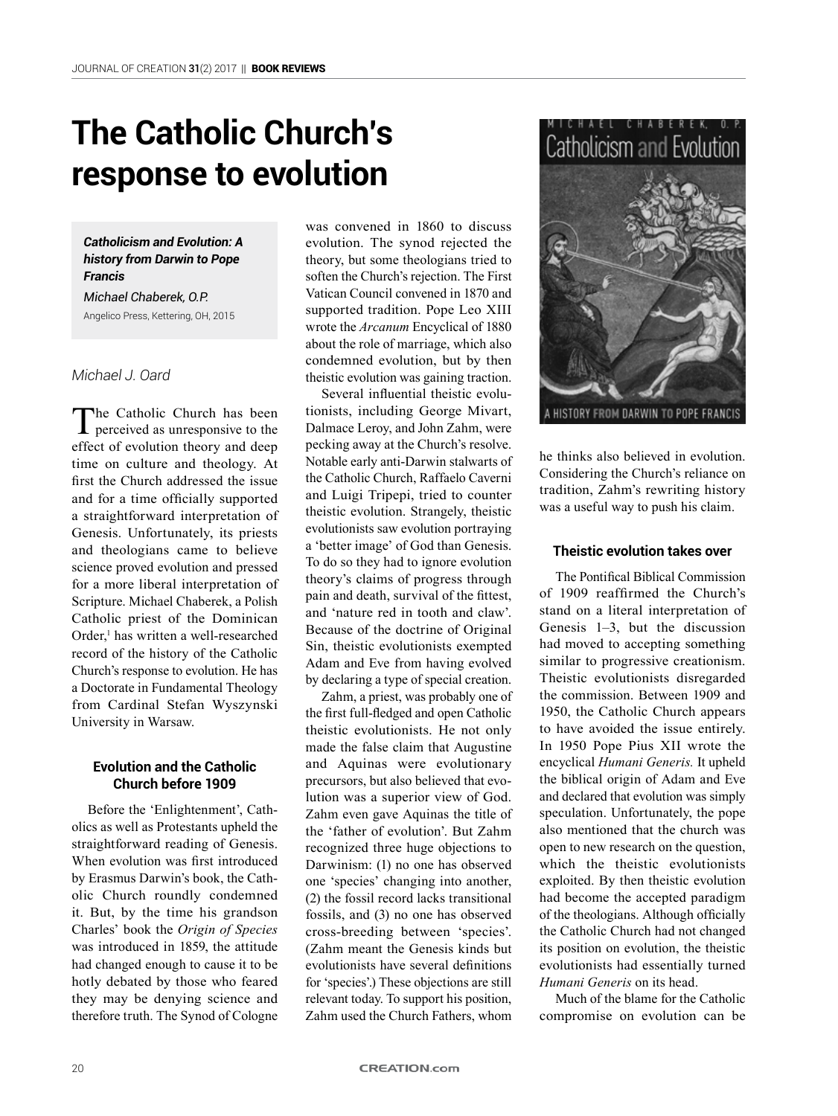# **The Catholic Church's response to evolution**

## *Catholicism and Evolution: A history from Darwin to Pope Francis*

*Michael Chaberek, O.P.* Angelico Press, Kettering, OH, 2015

## *Michael J. Oard*

The Catholic Church has been<br>perceived as unresponsive to the effect of evolution theory and deep time on culture and theology. At first the Church addressed the issue and for a time officially supported a straightforward interpretation of Genesis. Unfortunately, its priests and theologians came to believe science proved evolution and pressed for a more liberal interpretation of Scripture. Michael Chaberek, a Polish Catholic priest of the Dominican Order,<sup>1</sup> has written a well-researched record of the history of the Catholic Church's response to evolution. He has a Doctorate in Fundamental Theology from Cardinal Stefan Wyszynski University in Warsaw.

## **Evolution and the Catholic Church before 1909**

Before the 'Enlightenment', Catholics as well as Protestants upheld the straightforward reading of Genesis. When evolution was first introduced by Erasmus Darwin's book, the Catholic Church roundly condemned it. But, by the time his grandson Charles' book the *Origin of Species*  was introduced in 1859, the attitude had changed enough to cause it to be hotly debated by those who feared they may be denying science and therefore truth. The Synod of Cologne

was convened in 1860 to discuss evolution. The synod rejected the theory, but some theologians tried to soften the Church's rejection. The First Vatican Council convened in 1870 and supported tradition. Pope Leo XIII wrote the *Arcanum* Encyclical of 1880 about the role of marriage, which also condemned evolution, but by then theistic evolution was gaining traction.

Several influential theistic evolutionists, including George Mivart, Dalmace Leroy, and John Zahm, were pecking away at the Church's resolve. Notable early anti-Darwin stalwarts of the Catholic Church, Raffaelo Caverni and Luigi Tripepi, tried to counter theistic evolution. Strangely, theistic evolutionists saw evolution portraying a 'better image' of God than Genesis. To do so they had to ignore evolution theory's claims of progress through pain and death, survival of the fittest, and 'nature red in tooth and claw'. Because of the doctrine of Original Sin, theistic evolutionists exempted Adam and Eve from having evolved by declaring a type of special creation.

Zahm, a priest, was probably one of the first full-fledged and open Catholic theistic evolutionists. He not only made the false claim that Augustine and Aquinas were evolutionary precursors, but also believed that evolution was a superior view of God. Zahm even gave Aquinas the title of the 'father of evolution'. But Zahm recognized three huge objections to Darwinism: (1) no one has observed one 'species' changing into another, (2) the fossil record lacks transitional fossils, and (3) no one has observed cross-breeding between 'species'. (Zahm meant the Genesis kinds but evolutionists have several definitions for 'species'.) These objections are still relevant today. To support his position, Zahm used the Church Fathers, whom



he thinks also believed in evolution. Considering the Church's reliance on tradition, Zahm's rewriting history was a useful way to push his claim.

### **Theistic evolution takes over**

The Pontifical Biblical Commission of 1909 reaffirmed the Church's stand on a literal interpretation of Genesis 1–3, but the discussion had moved to accepting something similar to progressive creationism. Theistic evolutionists disregarded the commission. Between 1909 and 1950, the Catholic Church appears to have avoided the issue entirely. In 1950 Pope Pius XII wrote the encyclical *Humani Generis.* It upheld the biblical origin of Adam and Eve and declared that evolution was simply speculation. Unfortunately, the pope also mentioned that the church was open to new research on the question, which the theistic evolutionists exploited. By then theistic evolution had become the accepted paradigm of the theologians. Although officially the Catholic Church had not changed its position on evolution, the theistic evolutionists had essentially turned *Humani Generis* on its head.

Much of the blame for the Catholic compromise on evolution can be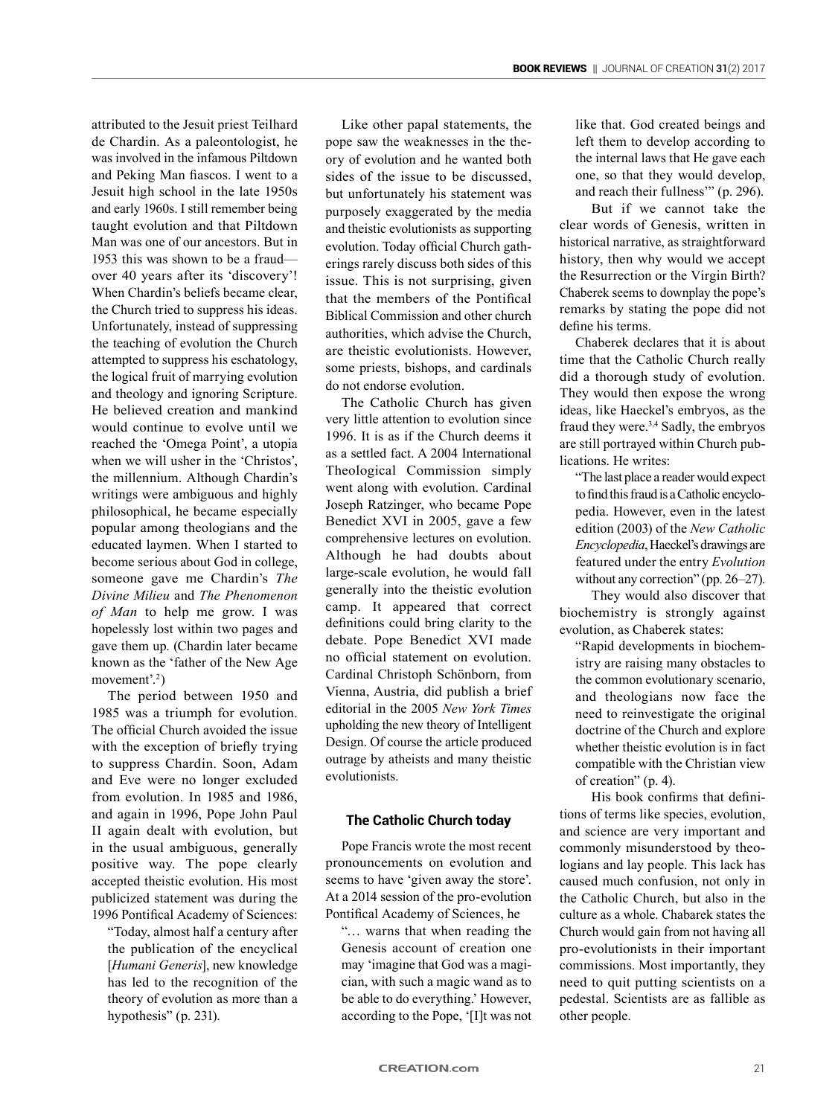attributed to the Jesuit priest Teilhard de Chardin. As a paleontologist, he was involved in the infamous Piltdown and Peking Man fiascos. I went to a Jesuit high school in the late 1950s and early 1960s. I still remember being taught evolution and that Piltdown Man was one of our ancestors. But in 1953 this was shown to be a fraud over 40 years after its 'discovery'! When Chardin's beliefs became clear, the Church tried to suppress his ideas. Unfortunately, instead of suppressing the teaching of evolution the Church attempted to suppress his eschatology, the logical fruit of marrying evolution and theology and ignoring Scripture. He believed creation and mankind would continue to evolve until we reached the 'Omega Point', a utopia when we will usher in the 'Christos', the millennium. Although Chardin's writings were ambiguous and highly philosophical, he became especially popular among theologians and the educated laymen. When I started to become serious about God in college, someone gave me Chardin's *The Divine Milieu* and *The Phenomenon of Man* to help me grow. I was hopelessly lost within two pages and gave them up. (Chardin later became known as the 'father of the New Age movement'.<sup>2</sup>)

The period between 1950 and 1985 was a triumph for evolution. The official Church avoided the issue with the exception of briefly trying to suppress Chardin. Soon, Adam and Eve were no longer excluded from evolution. In 1985 and 1986, and again in 1996, Pope John Paul II again dealt with evolution, but in the usual ambiguous, generally positive way. The pope clearly accepted theistic evolution. His most publicized statement was during the 1996 Pontifical Academy of Sciences:

"Today, almost half a century after the publication of the encyclical [*Humani Generis*], new knowledge has led to the recognition of the theory of evolution as more than a hypothesis" (p. 231).

Like other papal statements, the pope saw the weaknesses in the theory of evolution and he wanted both sides of the issue to be discussed, but unfortunately his statement was purposely exaggerated by the media and theistic evolutionists as supporting evolution. Today official Church gatherings rarely discuss both sides of this issue. This is not surprising, given that the members of the Pontifical Biblical Commission and other church authorities, which advise the Church, are theistic evolutionists. However, some priests, bishops, and cardinals do not endorse evolution.

The Catholic Church has given very little attention to evolution since 1996. It is as if the Church deems it as a settled fact. A 2004 International Theological Commission simply went along with evolution. Cardinal Joseph Ratzinger, who became Pope Benedict XVI in 2005, gave a few comprehensive lectures on evolution. Although he had doubts about large-scale evolution, he would fall generally into the theistic evolution camp. It appeared that correct definitions could bring clarity to the debate. Pope Benedict XVI made no official statement on evolution. Cardinal Christoph Schönborn, from Vienna, Austria, did publish a brief editorial in the 2005 *New York Times* upholding the new theory of Intelligent Design. Of course the article produced outrage by atheists and many theistic evolutionists.

## **The Catholic Church today**

Pope Francis wrote the most recent pronouncements on evolution and seems to have 'given away the store'. At a 2014 session of the pro-evolution Pontifical Academy of Sciences, he

"… warns that when reading the Genesis account of creation one may 'imagine that God was a magician, with such a magic wand as to be able to do everything.' However, according to the Pope, '[I]t was not like that. God created beings and left them to develop according to the internal laws that He gave each one, so that they would develop, and reach their fullness'" (p. 296).

But if we cannot take the clear words of Genesis, written in historical narrative, as straightforward history, then why would we accept the Resurrection or the Virgin Birth? Chaberek seems to downplay the pope's remarks by stating the pope did not define his terms.

Chaberek declares that it is about time that the Catholic Church really did a thorough study of evolution. They would then expose the wrong ideas, like Haeckel's embryos, as the fraud they were.3,4 Sadly, the embryos are still portrayed within Church publications. He writes:

"The last place a reader would expect to find this fraud is a Catholic encyclopedia. However, even in the latest edition (2003) of the *New Catholic Encyclopedia*, Haeckel's drawings are featured under the entry *Evolution* without any correction" (pp. 26–27).

They would also discover that biochemistry is strongly against evolution, as Chaberek states:

"Rapid developments in biochemistry are raising many obstacles to the common evolutionary scenario, and theologians now face the need to reinvestigate the original doctrine of the Church and explore whether theistic evolution is in fact compatible with the Christian view of creation" (p. 4).

His book confirms that definitions of terms like species, evolution, and science are very important and commonly misunderstood by theologians and lay people. This lack has caused much confusion, not only in the Catholic Church, but also in the culture as a whole. Chabarek states the Church would gain from not having all pro-evolutionists in their important commissions. Most importantly, they need to quit putting scientists on a pedestal. Scientists are as fallible as other people.